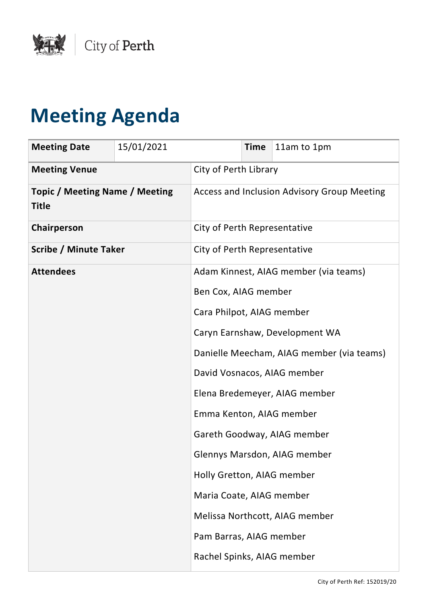

## **Meeting Agenda**

| <b>Meeting Date</b>                                   | 15/01/2021 |                                             | <b>Time</b> | 11am to 1pm                    |
|-------------------------------------------------------|------------|---------------------------------------------|-------------|--------------------------------|
| <b>Meeting Venue</b>                                  |            | City of Perth Library                       |             |                                |
| <b>Topic / Meeting Name / Meeting</b><br><b>Title</b> |            | Access and Inclusion Advisory Group Meeting |             |                                |
| Chairperson                                           |            | City of Perth Representative                |             |                                |
| <b>Scribe / Minute Taker</b>                          |            | City of Perth Representative                |             |                                |
| <b>Attendees</b>                                      |            | Adam Kinnest, AIAG member (via teams)       |             |                                |
|                                                       |            | Ben Cox, AIAG member                        |             |                                |
|                                                       |            | Cara Philpot, AIAG member                   |             |                                |
|                                                       |            | Caryn Earnshaw, Development WA              |             |                                |
|                                                       |            | Danielle Meecham, AIAG member (via teams)   |             |                                |
|                                                       |            |                                             |             | David Vosnacos, AIAG member    |
|                                                       |            |                                             |             | Elena Bredemeyer, AIAG member  |
|                                                       |            | Emma Kenton, AIAG member                    |             |                                |
|                                                       |            |                                             |             | Gareth Goodway, AIAG member    |
|                                                       |            |                                             |             | Glennys Marsdon, AIAG member   |
|                                                       |            | Holly Gretton, AIAG member                  |             |                                |
|                                                       |            | Maria Coate, AIAG member                    |             |                                |
|                                                       |            |                                             |             | Melissa Northcott, AIAG member |
|                                                       |            | Pam Barras, AIAG member                     |             |                                |
|                                                       |            | Rachel Spinks, AIAG member                  |             |                                |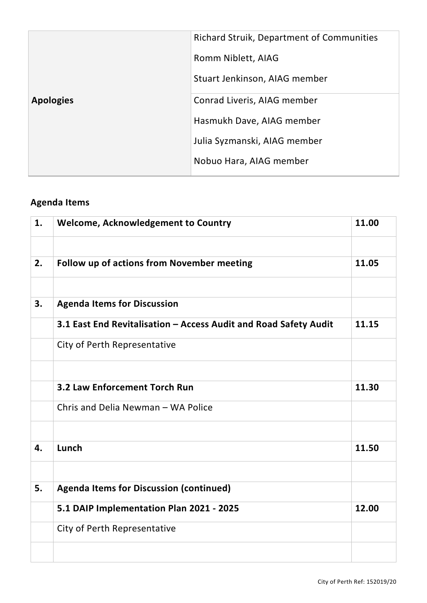|                  | Richard Struik, Department of Communities |  |
|------------------|-------------------------------------------|--|
|                  | Romm Niblett, AIAG                        |  |
|                  | Stuart Jenkinson, AIAG member             |  |
| <b>Apologies</b> | Conrad Liveris, AIAG member               |  |
|                  | Hasmukh Dave, AIAG member                 |  |
|                  | Julia Syzmanski, AIAG member              |  |
|                  | Nobuo Hara, AIAG member                   |  |

## **Agenda Items**

| 1. | <b>Welcome, Acknowledgement to Country</b>                       | 11.00 |
|----|------------------------------------------------------------------|-------|
|    |                                                                  |       |
| 2. | <b>Follow up of actions from November meeting</b>                | 11.05 |
|    |                                                                  |       |
| 3. | <b>Agenda Items for Discussion</b>                               |       |
|    | 3.1 East End Revitalisation - Access Audit and Road Safety Audit | 11.15 |
|    | City of Perth Representative                                     |       |
|    |                                                                  |       |
|    | <b>3.2 Law Enforcement Torch Run</b>                             | 11.30 |
|    | Chris and Delia Newman - WA Police                               |       |
|    |                                                                  |       |
| 4. | Lunch                                                            | 11.50 |
|    |                                                                  |       |
| 5. | <b>Agenda Items for Discussion (continued)</b>                   |       |
|    | 5.1 DAIP Implementation Plan 2021 - 2025                         | 12.00 |
|    | City of Perth Representative                                     |       |
|    |                                                                  |       |